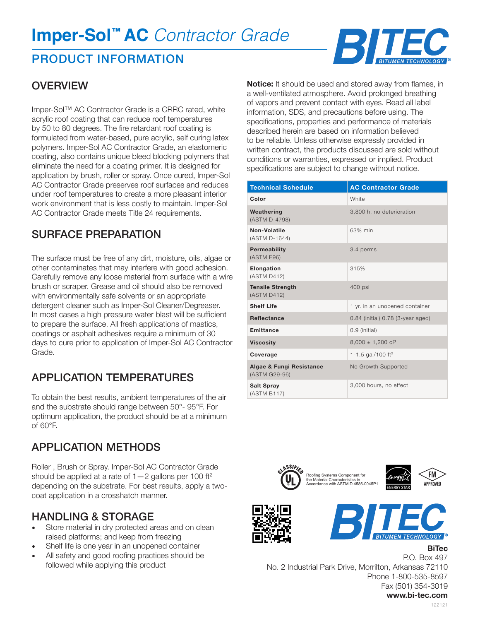# **Imper-Sol™ AC** *Contractor Grade*

### PRODUCT INFORMATION

#### **OVERVIEW**

Imper-Sol™ AC Contractor Grade is a CRRC rated, white acrylic roof coating that can reduce roof temperatures by 50 to 80 degrees. The fire retardant roof coating is formulated from water-based, pure acrylic, self curing latex polymers. Imper-Sol AC Contractor Grade, an elastomeric coating, also contains unique bleed blocking polymers that eliminate the need for a coating primer. It is designed for application by brush, roller or spray. Once cured, Imper-Sol AC Contractor Grade preserves roof surfaces and reduces under roof temperatures to create a more pleasant interior work environment that is less costly to maintain. Imper-Sol AC Contractor Grade meets Title 24 requirements.

### SURFACE PREPARATION

The surface must be free of any dirt, moisture, oils, algae or other contaminates that may interfere with good adhesion. Carefully remove any loose material from surface with a wire brush or scraper. Grease and oil should also be removed with environmentally safe solvents or an appropriate detergent cleaner such as Imper-Sol Cleaner/Degreaser. In most cases a high pressure water blast will be sufficient to prepare the surface. All fresh applications of mastics, coatings or asphalt adhesives require a minimum of 30 days to cure prior to application of Imper-Sol AC Contractor Grade.

### APPLICATION TEMPERATURES

To obtain the best results, ambient temperatures of the air and the substrate should range between 50°- 95°F. For optimum application, the product should be at a minimum of 60°F.

### APPLICATION METHODS

Roller , Brush or Spray. Imper-Sol AC Contractor Grade should be applied at a rate of  $1-2$  gallons per 100 ft<sup>2</sup> depending on the substrate. For best results, apply a twocoat application in a crosshatch manner.

#### HANDLING & STORAGE

- Store material in dry protected areas and on clean raised platforms; and keep from freezing
- Shelf life is one year in an unopened container
- All safety and good roofing practices should be followed while applying this product

**Notice:** It should be used and stored away from flames, in a well-ventilated atmosphere. Avoid prolonged breathing of vapors and prevent contact with eyes. Read all label information, SDS, and precautions before using. The specifications, properties and performance of materials described herein are based on information believed to be reliable. Unless otherwise expressly provided in written contract, the products discussed are sold without conditions or warranties, expressed or implied. Product specifications are subject to change without notice.

| <b>Technical Schedule</b>                 | <b>AC Contractor Grade</b>            |
|-------------------------------------------|---------------------------------------|
| Color                                     | <b>White</b>                          |
| Weathering<br>(ASTM D-4798)               | 3,800 h, no deterioration             |
| Non-Volatile<br>(ASTM D-1644)             | 63% min                               |
| <b>Permeability</b><br>(ASTM E96)         | 3.4 perms                             |
| Elongation<br>(ASTM D412)                 | 315%                                  |
| <b>Tensile Strength</b><br>(ASTM D412)    | 400 psi                               |
| <b>Shelf Life</b>                         | 1 yr. in an unopened container        |
| <b>Reflectance</b>                        | $0.84$ (initial) $0.78$ (3-year aged) |
| <b>Emittance</b>                          | 0.9 (initial)                         |
| <b>Viscosity</b>                          | $8,000 \pm 1,200$ cP                  |
| Coverage                                  | 1-1.5 gal/100 ft <sup>2</sup>         |
| Algae & Fungi Resistance<br>(ASTM G29-96) | No Growth Supported                   |
| <b>Salt Spray</b><br>(ASTM B117)          | 3,000 hours, no effect                |







**BiTec**

P.O. Box 497 No. 2 Industrial Park Drive, Morrilton, Arkansas 72110 Phone 1-800-535-8597 Fax (501) 354-3019

**www.bi-tec.com**